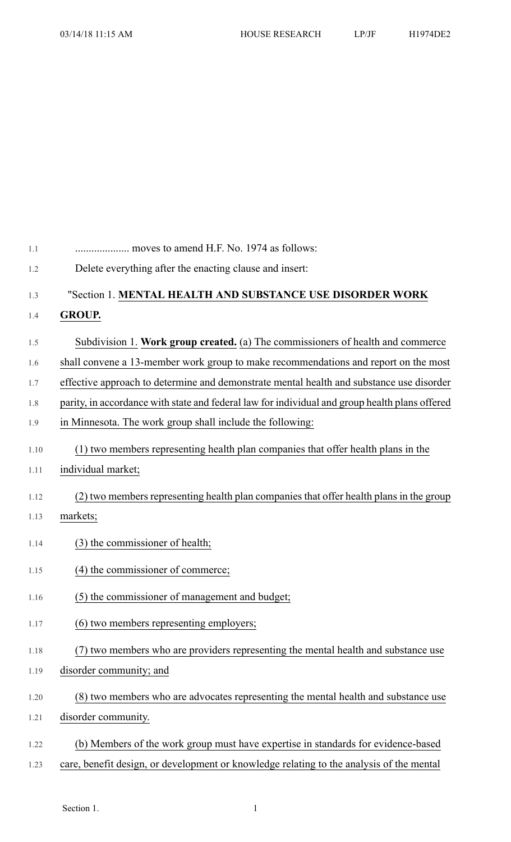| 1.1  | moves to amend H.F. No. 1974 as follows:                                                       |
|------|------------------------------------------------------------------------------------------------|
| 1.2  | Delete everything after the enacting clause and insert:                                        |
| 1.3  | "Section 1. MENTAL HEALTH AND SUBSTANCE USE DISORDER WORK                                      |
| 1.4  | <b>GROUP.</b>                                                                                  |
| 1.5  | Subdivision 1. Work group created. (a) The commissioners of health and commerce                |
| 1.6  | shall convene a 13-member work group to make recommendations and report on the most            |
| 1.7  | effective approach to determine and demonstrate mental health and substance use disorder       |
| 1.8  | parity, in accordance with state and federal law for individual and group health plans offered |
| 1.9  | in Minnesota. The work group shall include the following:                                      |
| 1.10 | (1) two members representing health plan companies that offer health plans in the              |
| 1.11 | individual market;                                                                             |
| 1.12 | (2) two members representing health plan companies that offer health plans in the group        |
| 1.13 | markets;                                                                                       |
|      |                                                                                                |
| 1.14 | (3) the commissioner of health;                                                                |
| 1.15 | (4) the commissioner of commerce;                                                              |
| 1.16 | (5) the commissioner of management and budget;                                                 |
| 1.17 | (6) two members representing employers;                                                        |
| 1.18 | (7) two members who are providers representing the mental health and substance use             |
| 1.19 | disorder community; and                                                                        |
| 1.20 | (8) two members who are advocates representing the mental health and substance use             |
| 1.21 | disorder community.                                                                            |
| 1.22 | (b) Members of the work group must have expertise in standards for evidence-based              |
| 1.23 | care, benefit design, or development or knowledge relating to the analysis of the mental       |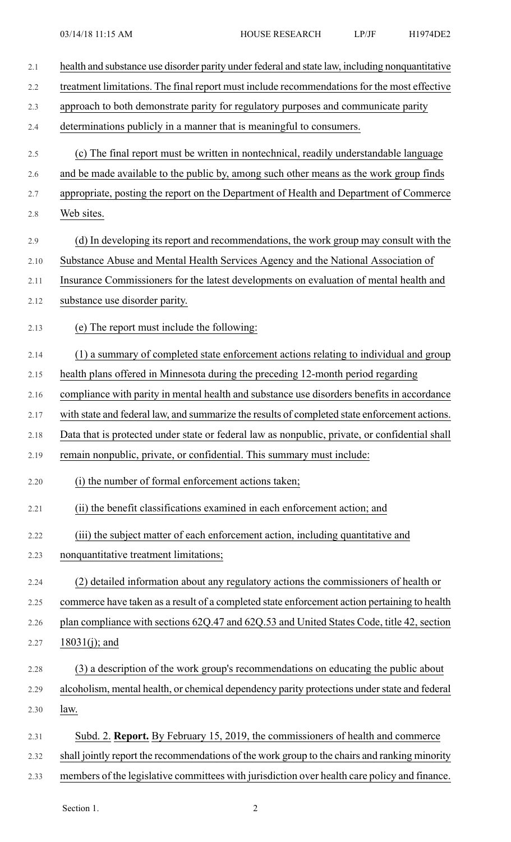| 2.1  | health and substance use disorder parity under federal and state law, including nonquantitative |
|------|-------------------------------------------------------------------------------------------------|
| 2.2  | treatment limitations. The final report must include recommendations for the most effective     |
| 2.3  | approach to both demonstrate parity for regulatory purposes and communicate parity              |
| 2.4  | determinations publicly in a manner that is meaningful to consumers.                            |
| 2.5  | (c) The final report must be written in nontechnical, readily understandable language           |
| 2.6  | and be made available to the public by, among such other means as the work group finds          |
| 2.7  | appropriate, posting the report on the Department of Health and Department of Commerce          |
| 2.8  | Web sites.                                                                                      |
| 2.9  | (d) In developing its report and recommendations, the work group may consult with the           |
| 2.10 | Substance Abuse and Mental Health Services Agency and the National Association of               |
| 2.11 | Insurance Commissioners for the latest developments on evaluation of mental health and          |
| 2.12 | substance use disorder parity.                                                                  |
| 2.13 | (e) The report must include the following:                                                      |
| 2.14 | (1) a summary of completed state enforcement actions relating to individual and group           |
| 2.15 | health plans offered in Minnesota during the preceding 12-month period regarding                |
| 2.16 | compliance with parity in mental health and substance use disorders benefits in accordance      |
| 2.17 | with state and federal law, and summarize the results of completed state enforcement actions.   |
| 2.18 | Data that is protected under state or federal law as nonpublic, private, or confidential shall  |
| 2.19 | remain nonpublic, private, or confidential. This summary must include:                          |
| 2.20 | (i) the number of formal enforcement actions taken;                                             |
| 2.21 | (ii) the benefit classifications examined in each enforcement action; and                       |
| 2.22 | (iii) the subject matter of each enforcement action, including quantitative and                 |
| 2.23 | nonquantitative treatment limitations;                                                          |
| 2.24 | (2) detailed information about any regulatory actions the commissioners of health or            |
| 2.25 | commerce have taken as a result of a completed state enforcement action pertaining to health    |
| 2.26 | plan compliance with sections 62Q.47 and 62Q.53 and United States Code, title 42, section       |
| 2.27 | $18031(j)$ ; and                                                                                |
| 2.28 | (3) a description of the work group's recommendations on educating the public about             |
| 2.29 | alcoholism, mental health, or chemical dependency parity protections under state and federal    |
| 2.30 | law.                                                                                            |
| 2.31 | Subd. 2. Report. By February 15, 2019, the commissioners of health and commerce                 |
| 2.32 | shall jointly report the recommendations of the work group to the chairs and ranking minority   |
| 2.33 | members of the legislative committees with jurisdiction over health care policy and finance.    |

Section 1. 2